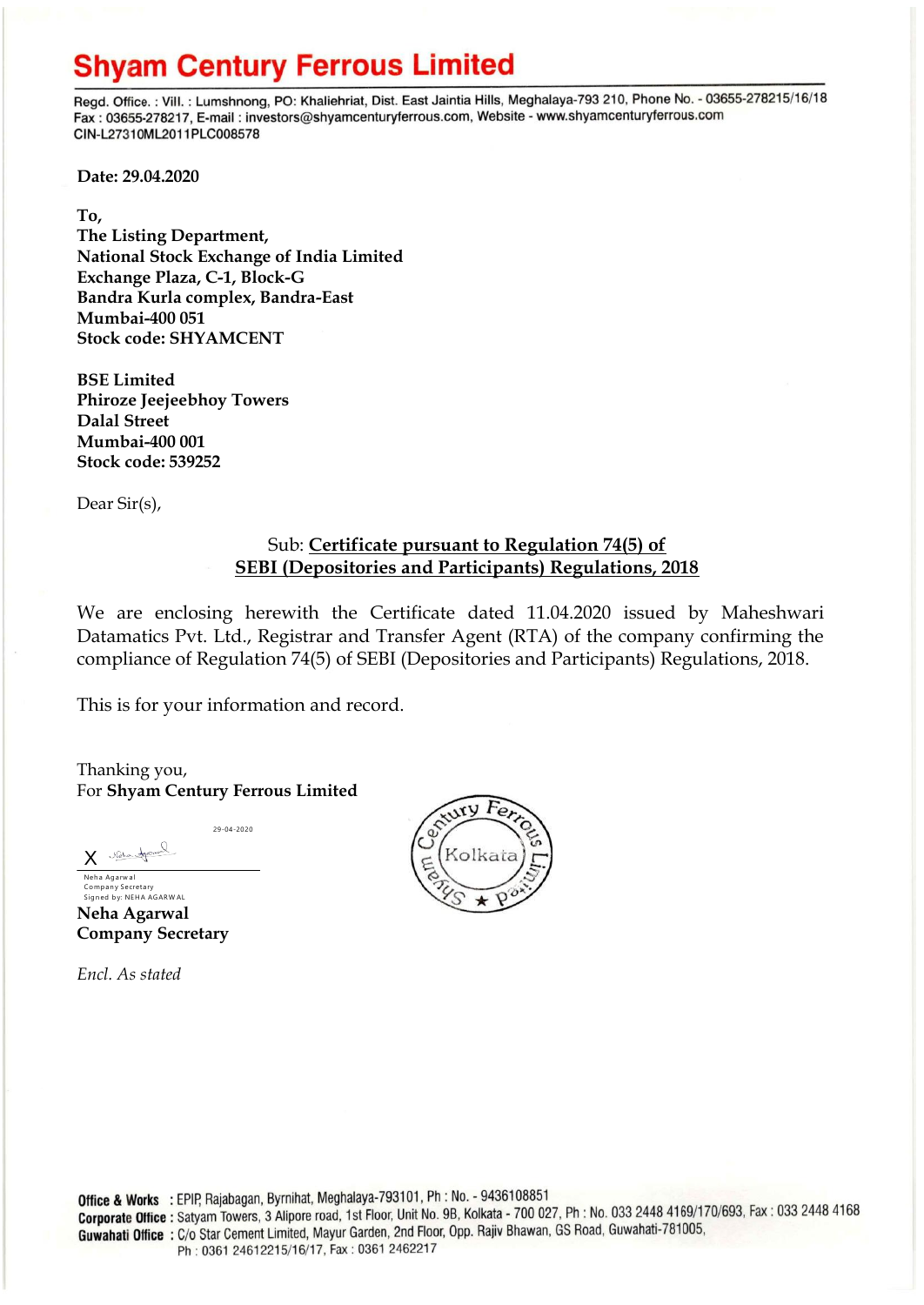## **Shyam Century Ferrous Limited**

Regd. Office.: Vill.: Lumshnong, PO: Khaliehriat, Dist. East Jaintia Hills, Meghalaya-793 210, Phone No. - 03655-278215/16/18 Fax: 03655-278217, E-mail: investors@shyamcenturyferrous.com, Website - www.shyamcenturyferrous.com CIN-L27310ML2011PLC008578

**Date: 29.04.2020**

**To,** 

**The Listing Department, National Stock Exchange of India Limited Exchange Plaza, C-1, Block-G Bandra Kurla complex, Bandra-East Mumbai-400 051 Stock code: SHYAMCENT**

**BSE Limited Phiroze Jeejeebhoy Towers Dalal Street Mumbai-400 001 Stock code: 539252**

Dear Sir(s),

## Sub: **Certificate pursuant to Regulation 74(5) of SEBI (Depositories and Participants) Regulations, 2018**

We are enclosing herewith the Certificate dated 11.04.2020 issued by Maheshwari Datamatics Pvt. Ltd., Registrar and Transfer Agent (RTA) of the company confirming the compliance of Regulation 74(5) of SEBI (Depositories and Participants) Regulations, 2018.

This is for your information and record.

Thanking you, For **Shyam Century Ferrous Limited**

29-04-2020

X Velandres Neha Agarwal

Company Secretary<br>Signed by: NEHA AGARWAL **Neha Agarwal Company Secretary**

*Encl. As stated*